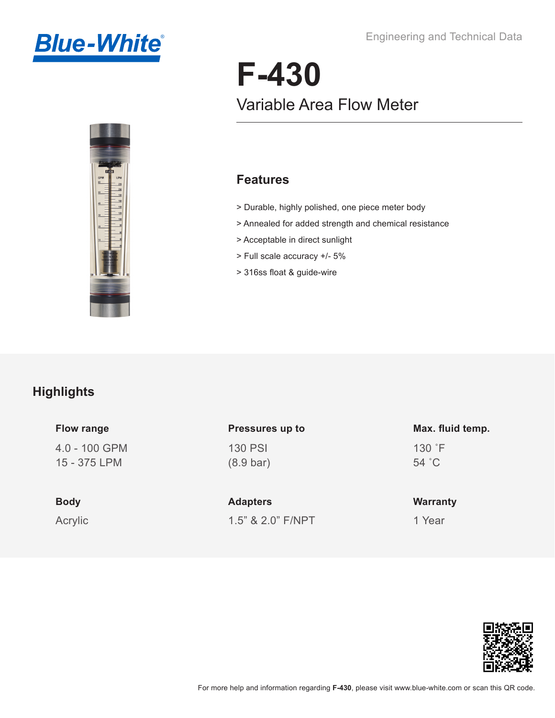



# **F-430** Variable Area Flow Meter

#### **Features**

- > Durable, highly polished, one piece meter body
- > Annealed for added strength and chemical resistance
- > Acceptable in direct sunlight
- > Full scale accuracy +/- 5%
- > 316ss float & guide-wire

#### **Highlights**

#### 4.0 - 100 GPM **Flow range**

15 - 375 LPM

# **Body**

Acrylic

## 130 PSI (8.9 bar) **Pressures up to**

1.5" & 2.0" F/NPT **Adapters**

#### 130 ˚F 54 ˚C **Max. fluid temp.**

### **Warranty**

1 Year

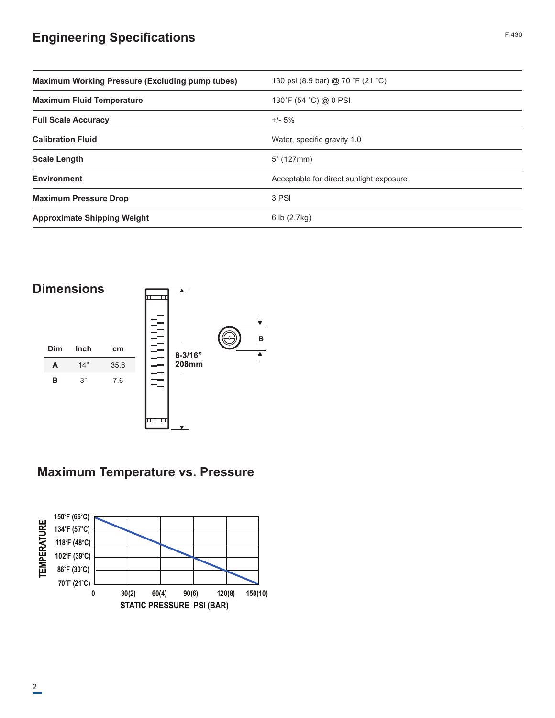### **Engineering Specifications**

| <b>Maximum Working Pressure (Excluding pump tubes)</b> | 130 psi (8.9 bar) @ 70 °F (21 °C)       |
|--------------------------------------------------------|-----------------------------------------|
| <b>Maximum Fluid Temperature</b>                       | 130°F (54 °C) @ 0 PSI                   |
| <b>Full Scale Accuracy</b>                             | $+/- 5%$                                |
| <b>Calibration Fluid</b>                               | Water, specific gravity 1.0             |
| <b>Scale Length</b>                                    | 5" (127mm)                              |
| <b>Environment</b>                                     | Acceptable for direct sunlight exposure |
| <b>Maximum Pressure Drop</b>                           | 3 PSI                                   |
| <b>Approximate Shipping Weight</b>                     | 6 lb $(2.7kg)$                          |



# **Maximum Temperature vs. Pressure**

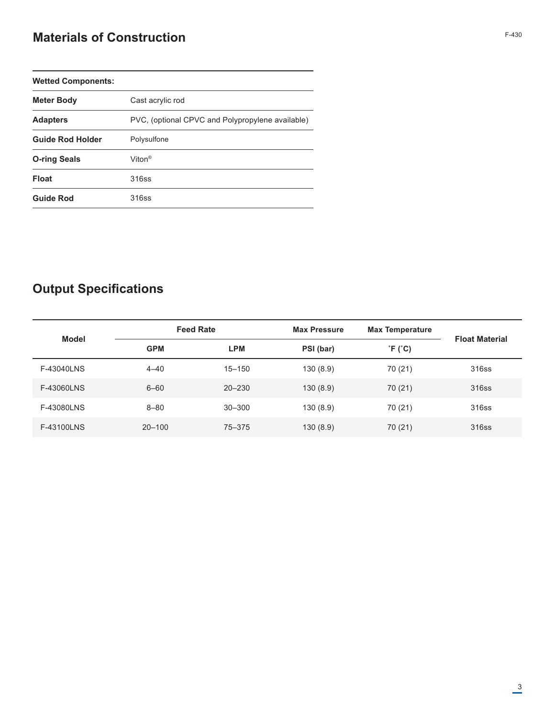### **Materials of Construction** F-430

| <b>Wetted Components:</b> |                                                  |
|---------------------------|--------------------------------------------------|
| <b>Meter Body</b>         | Cast acrylic rod                                 |
| <b>Adapters</b>           | PVC, (optional CPVC and Polypropylene available) |
| <b>Guide Rod Holder</b>   | Polysulfone                                      |
| <b>O-ring Seals</b>       | Viton <sup>®</sup>                               |
| <b>Float</b>              | 316ss                                            |
| <b>Guide Rod</b>          | 316ss                                            |

# **Output Specifications**

| <b>Model</b> | <b>Feed Rate</b> |            | <b>Max Pressure</b> | <b>Max Temperature</b> | <b>Float Material</b> |  |
|--------------|------------------|------------|---------------------|------------------------|-----------------------|--|
|              | <b>GPM</b>       | <b>LPM</b> | PSI (bar)           | $\hat{F}$ (°C)         |                       |  |
| F-43040LNS   | $4 - 40$         | $15 - 150$ | 130(8.9)            | 70 (21)                | 316ss                 |  |
| F-43060LNS   | $6 - 60$         | $20 - 230$ | 130(8.9)            | 70 (21)                | 316ss                 |  |
| F-43080LNS   | $8 - 80$         | $30 - 300$ | 130(8.9)            | 70 (21)                | 316ss                 |  |
| F-43100LNS   | $20 - 100$       | 75-375     | 130(8.9)            | 70 (21)                | 316ss                 |  |